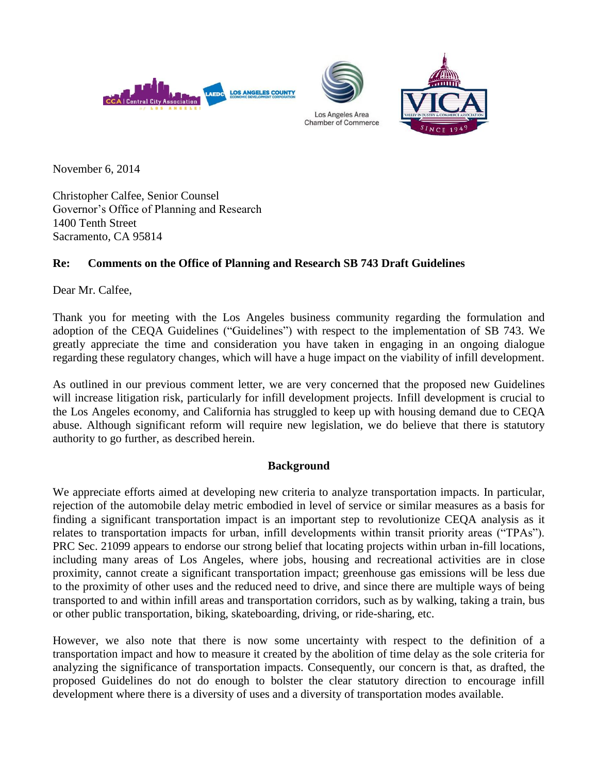





November 6, 2014

Christopher Calfee, Senior Counsel Governor's Office of Planning and Research 1400 Tenth Street Sacramento, CA 95814

# **Re: Comments on the Office of Planning and Research SB 743 Draft Guidelines**

Dear Mr. Calfee,

Thank you for meeting with the Los Angeles business community regarding the formulation and adoption of the CEQA Guidelines ("Guidelines") with respect to the implementation of SB 743. We greatly appreciate the time and consideration you have taken in engaging in an ongoing dialogue regarding these regulatory changes, which will have a huge impact on the viability of infill development.

As outlined in our previous comment letter, we are very concerned that the proposed new Guidelines will increase litigation risk, particularly for infill development projects. Infill development is crucial to the Los Angeles economy, and California has struggled to keep up with housing demand due to CEQA abuse. Although significant reform will require new legislation, we do believe that there is statutory authority to go further, as described herein.

## **Background**

We appreciate efforts aimed at developing new criteria to analyze transportation impacts. In particular, rejection of the automobile delay metric embodied in level of service or similar measures as a basis for finding a significant transportation impact is an important step to revolutionize CEQA analysis as it relates to transportation impacts for urban, infill developments within transit priority areas ("TPAs"). PRC Sec. 21099 appears to endorse our strong belief that locating projects within urban in-fill locations, including many areas of Los Angeles, where jobs, housing and recreational activities are in close proximity, cannot create a significant transportation impact; greenhouse gas emissions will be less due to the proximity of other uses and the reduced need to drive, and since there are multiple ways of being transported to and within infill areas and transportation corridors, such as by walking, taking a train, bus or other public transportation, biking, skateboarding, driving, or ride-sharing, etc.

However, we also note that there is now some uncertainty with respect to the definition of a transportation impact and how to measure it created by the abolition of time delay as the sole criteria for analyzing the significance of transportation impacts. Consequently, our concern is that, as drafted, the proposed Guidelines do not do enough to bolster the clear statutory direction to encourage infill development where there is a diversity of uses and a diversity of transportation modes available.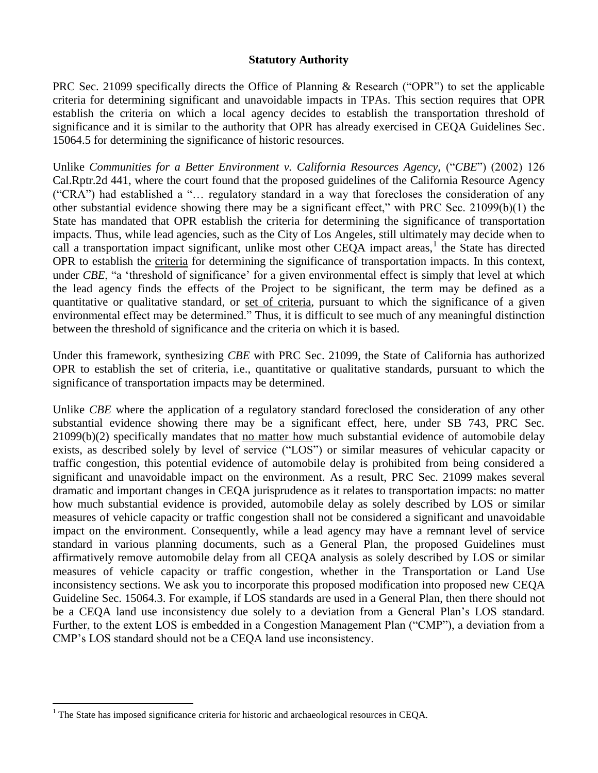### **Statutory Authority**

PRC Sec. 21099 specifically directs the Office of Planning & Research ("OPR") to set the applicable criteria for determining significant and unavoidable impacts in TPAs. This section requires that OPR establish the criteria on which a local agency decides to establish the transportation threshold of significance and it is similar to the authority that OPR has already exercised in CEQA Guidelines Sec. 15064.5 for determining the significance of historic resources.

Unlike *Communities for a Better Environment v. California Resources Agency,* ("*CBE*") (2002) 126 Cal.Rptr.2d 441, where the court found that the proposed guidelines of the California Resource Agency ("CRA") had established a "… regulatory standard in a way that forecloses the consideration of any other substantial evidence showing there may be a significant effect," with PRC Sec. 21099(b)(1) the State has mandated that OPR establish the criteria for determining the significance of transportation impacts. Thus, while lead agencies, such as the City of Los Angeles, still ultimately may decide when to call a transportation impact significant, unlike most other CEQA impact areas,<sup>1</sup> the State has directed OPR to establish the criteria for determining the significance of transportation impacts. In this context, under *CBE*, "a 'threshold of significance' for a given environmental effect is simply that level at which the lead agency finds the effects of the Project to be significant, the term may be defined as a quantitative or qualitative standard, or set of criteria, pursuant to which the significance of a given environmental effect may be determined.<sup>"</sup> Thus, it is difficult to see much of any meaningful distinction between the threshold of significance and the criteria on which it is based.

Under this framework, synthesizing *CBE* with PRC Sec. 21099, the State of California has authorized OPR to establish the set of criteria, i.e., quantitative or qualitative standards, pursuant to which the significance of transportation impacts may be determined.

Unlike *CBE* where the application of a regulatory standard foreclosed the consideration of any other substantial evidence showing there may be a significant effect, here, under SB 743, PRC Sec. 21099(b)(2) specifically mandates that no matter how much substantial evidence of automobile delay exists, as described solely by level of service ("LOS") or similar measures of vehicular capacity or traffic congestion, this potential evidence of automobile delay is prohibited from being considered a significant and unavoidable impact on the environment. As a result, PRC Sec. 21099 makes several dramatic and important changes in CEQA jurisprudence as it relates to transportation impacts: no matter how much substantial evidence is provided, automobile delay as solely described by LOS or similar measures of vehicle capacity or traffic congestion shall not be considered a significant and unavoidable impact on the environment. Consequently, while a lead agency may have a remnant level of service standard in various planning documents, such as a General Plan, the proposed Guidelines must affirmatively remove automobile delay from all CEQA analysis as solely described by LOS or similar measures of vehicle capacity or traffic congestion, whether in the Transportation or Land Use inconsistency sections. We ask you to incorporate this proposed modification into proposed new CEQA Guideline Sec. 15064.3. For example, if LOS standards are used in a General Plan, then there should not be a CEQA land use inconsistency due solely to a deviation from a General Plan's LOS standard. Further, to the extent LOS is embedded in a Congestion Management Plan ("CMP"), a deviation from a CMP's LOS standard should not be a CEQA land use inconsistency.

 $\overline{a}$ 

 $<sup>1</sup>$  The State has imposed significance criteria for historic and archaeological resources in CEQA.</sup>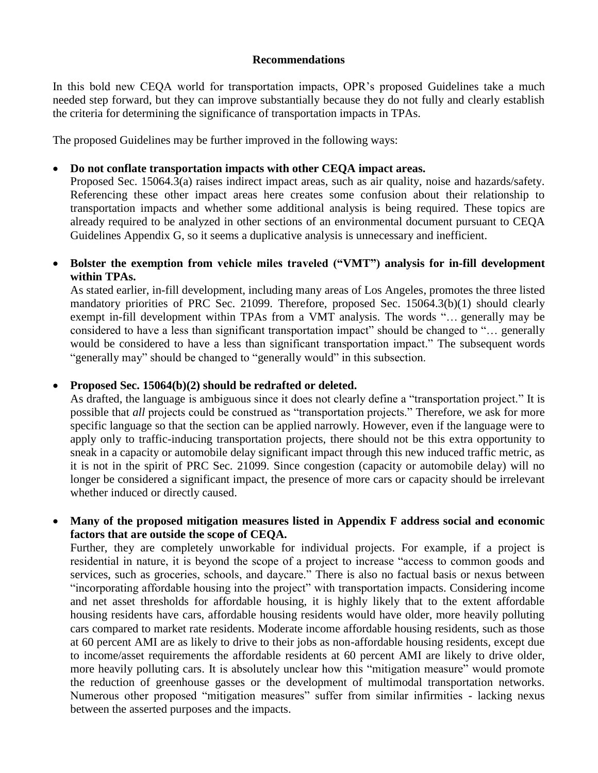### **Recommendations**

In this bold new CEQA world for transportation impacts, OPR's proposed Guidelines take a much needed step forward, but they can improve substantially because they do not fully and clearly establish the criteria for determining the significance of transportation impacts in TPAs.

The proposed Guidelines may be further improved in the following ways:

### **Do not conflate transportation impacts with other CEQA impact areas.**

Proposed Sec. 15064.3(a) raises indirect impact areas, such as air quality, noise and hazards/safety. Referencing these other impact areas here creates some confusion about their relationship to transportation impacts and whether some additional analysis is being required. These topics are already required to be analyzed in other sections of an environmental document pursuant to CEQA Guidelines Appendix G, so it seems a duplicative analysis is unnecessary and inefficient.

### **Bolster the exemption from vehicle miles traveled ("VMT") analysis for in-fill development within TPAs.**

As stated earlier, in-fill development, including many areas of Los Angeles, promotes the three listed mandatory priorities of PRC Sec. 21099. Therefore, proposed Sec. 15064.3(b)(1) should clearly exempt in-fill development within TPAs from a VMT analysis. The words "… generally may be considered to have a less than significant transportation impact" should be changed to "… generally would be considered to have a less than significant transportation impact." The subsequent words "generally may" should be changed to "generally would" in this subsection.

#### **Proposed Sec. 15064(b)(2) should be redrafted or deleted.**

As drafted, the language is ambiguous since it does not clearly define a "transportation project." It is possible that *all* projects could be construed as "transportation projects." Therefore, we ask for more specific language so that the section can be applied narrowly. However, even if the language were to apply only to traffic-inducing transportation projects, there should not be this extra opportunity to sneak in a capacity or automobile delay significant impact through this new induced traffic metric, as it is not in the spirit of PRC Sec. 21099. Since congestion (capacity or automobile delay) will no longer be considered a significant impact, the presence of more cars or capacity should be irrelevant whether induced or directly caused.

### **Many of the proposed mitigation measures listed in Appendix F address social and economic factors that are outside the scope of CEQA.**

Further, they are completely unworkable for individual projects. For example, if a project is residential in nature, it is beyond the scope of a project to increase "access to common goods and services, such as groceries, schools, and daycare." There is also no factual basis or nexus between "incorporating affordable housing into the project" with transportation impacts. Considering income and net asset thresholds for affordable housing, it is highly likely that to the extent affordable housing residents have cars, affordable housing residents would have older, more heavily polluting cars compared to market rate residents. Moderate income affordable housing residents, such as those at 60 percent AMI are as likely to drive to their jobs as non-affordable housing residents, except due to income/asset requirements the affordable residents at 60 percent AMI are likely to drive older, more heavily polluting cars. It is absolutely unclear how this "mitigation measure" would promote the reduction of greenhouse gasses or the development of multimodal transportation networks. Numerous other proposed "mitigation measures" suffer from similar infirmities - lacking nexus between the asserted purposes and the impacts.